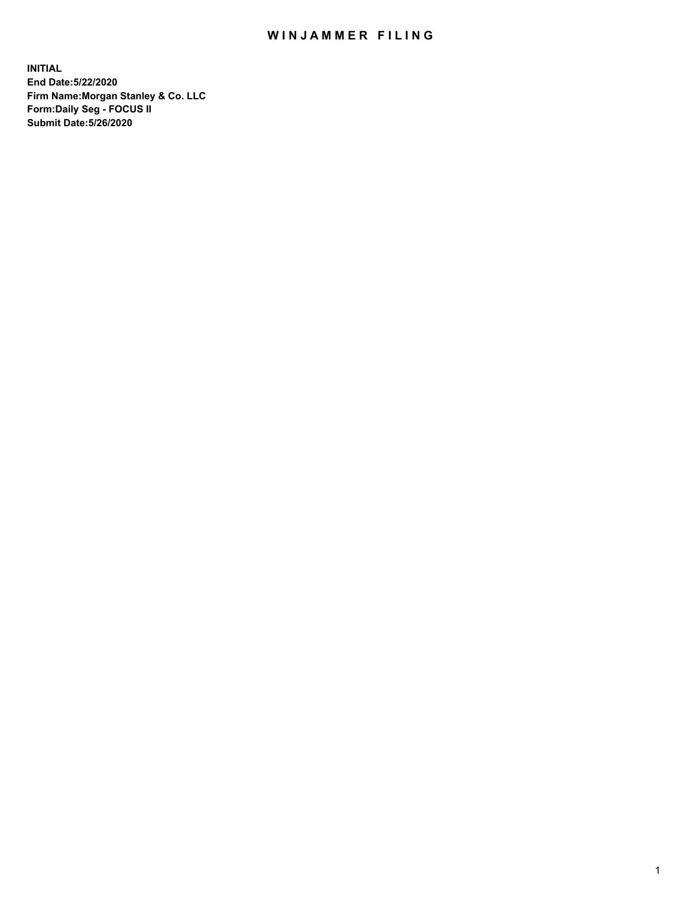## WIN JAMMER FILING

**INITIAL End Date:5/22/2020 Firm Name:Morgan Stanley & Co. LLC Form:Daily Seg - FOCUS II Submit Date:5/26/2020**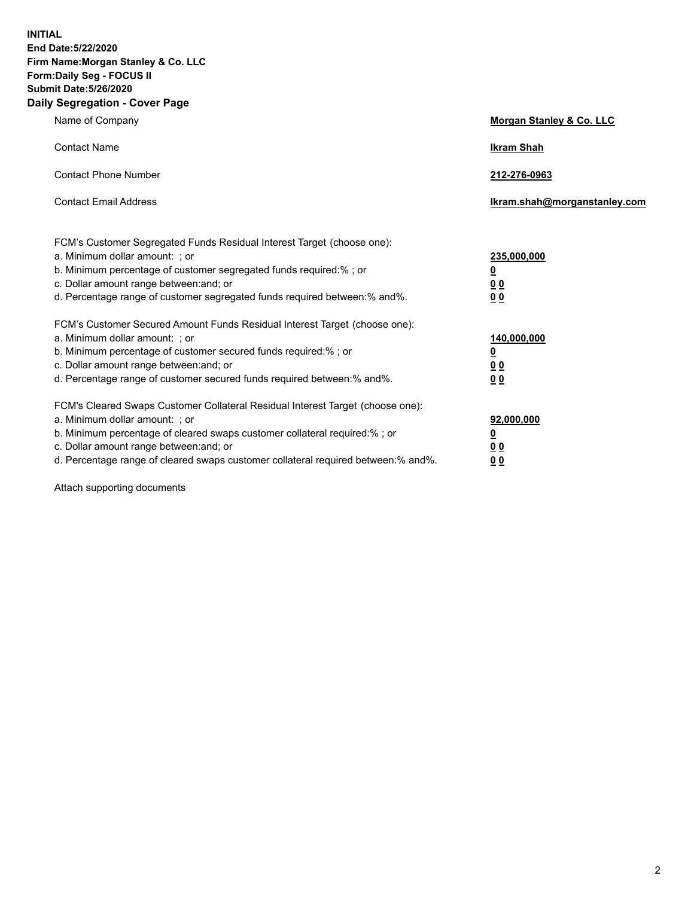**INITIAL End Date:5/22/2020 Firm Name:Morgan Stanley & Co. LLC Form:Daily Seg - FOCUS II Submit Date:5/26/2020 Daily Segregation - Cover Page**

| Name of Company                                                                                                                                                                                                                                                                                                                | Morgan Stanley & Co. LLC                               |
|--------------------------------------------------------------------------------------------------------------------------------------------------------------------------------------------------------------------------------------------------------------------------------------------------------------------------------|--------------------------------------------------------|
| <b>Contact Name</b>                                                                                                                                                                                                                                                                                                            | <b>Ikram Shah</b>                                      |
| <b>Contact Phone Number</b>                                                                                                                                                                                                                                                                                                    | 212-276-0963                                           |
| <b>Contact Email Address</b>                                                                                                                                                                                                                                                                                                   | Ikram.shah@morganstanley.com                           |
| FCM's Customer Segregated Funds Residual Interest Target (choose one):<br>a. Minimum dollar amount: ; or<br>b. Minimum percentage of customer segregated funds required:% ; or<br>c. Dollar amount range between: and; or<br>d. Percentage range of customer segregated funds required between: % and %.                       | 235,000,000<br><u>0</u><br>00<br>0 <sub>0</sub>        |
| FCM's Customer Secured Amount Funds Residual Interest Target (choose one):<br>a. Minimum dollar amount: ; or<br>b. Minimum percentage of customer secured funds required:% ; or<br>c. Dollar amount range between: and; or<br>d. Percentage range of customer secured funds required between:% and%.                           | 140,000,000<br><u>0</u><br><u>00</u><br>0 <sub>0</sub> |
| FCM's Cleared Swaps Customer Collateral Residual Interest Target (choose one):<br>a. Minimum dollar amount: ; or<br>b. Minimum percentage of cleared swaps customer collateral required:% ; or<br>c. Dollar amount range between: and; or<br>d. Percentage range of cleared swaps customer collateral required between:% and%. | 92,000,000<br><u>0</u><br><u>00</u><br>00              |

Attach supporting documents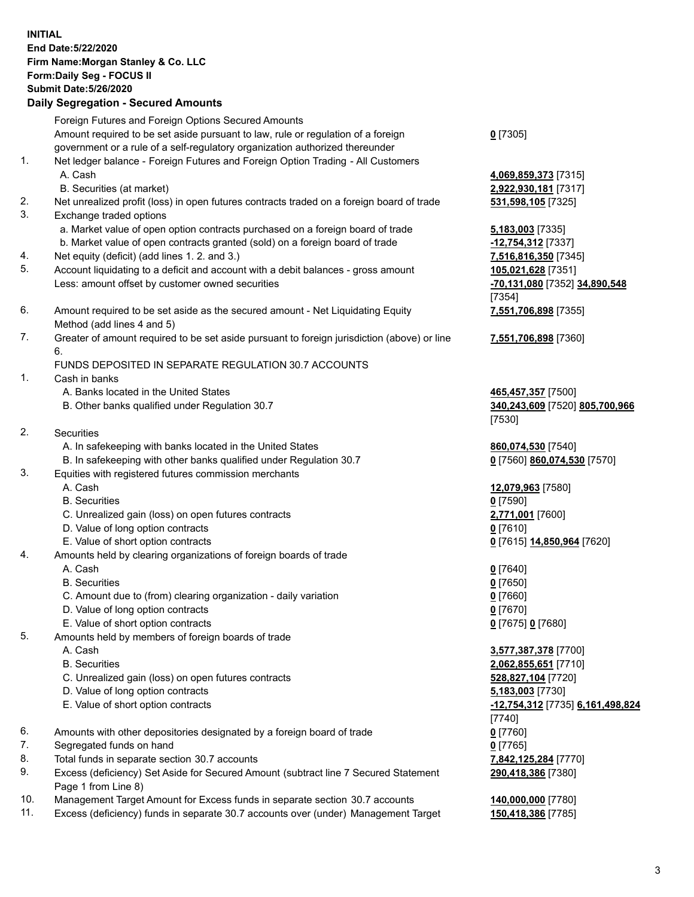| <b>INITIAL</b> | End Date: 5/22/2020<br>Firm Name: Morgan Stanley & Co. LLC<br>Form: Daily Seg - FOCUS II<br><b>Submit Date: 5/26/2020</b><br><b>Daily Segregation - Secured Amounts</b> |                                                      |
|----------------|-------------------------------------------------------------------------------------------------------------------------------------------------------------------------|------------------------------------------------------|
|                | Foreign Futures and Foreign Options Secured Amounts                                                                                                                     |                                                      |
|                | Amount required to be set aside pursuant to law, rule or regulation of a foreign                                                                                        | $0$ [7305]                                           |
|                | government or a rule of a self-regulatory organization authorized thereunder                                                                                            |                                                      |
| 1.             | Net ledger balance - Foreign Futures and Foreign Option Trading - All Customers<br>A. Cash                                                                              | 4,069,859,373 [7315]                                 |
|                | B. Securities (at market)                                                                                                                                               | 2,922,930,181 [7317]                                 |
| 2.             | Net unrealized profit (loss) in open futures contracts traded on a foreign board of trade                                                                               | 531,598,105 [7325]                                   |
| 3.             | Exchange traded options                                                                                                                                                 |                                                      |
|                | a. Market value of open option contracts purchased on a foreign board of trade                                                                                          | <b>5,183,003</b> [7335]                              |
|                | b. Market value of open contracts granted (sold) on a foreign board of trade                                                                                            | -12,754,312 [7337]                                   |
| 4.<br>5.       | Net equity (deficit) (add lines 1.2. and 3.)<br>Account liquidating to a deficit and account with a debit balances - gross amount                                       | 7,516,816,350 [7345]<br>105,021,628 [7351]           |
|                | Less: amount offset by customer owned securities                                                                                                                        | -70,131,080 [7352] 34,890,548                        |
|                |                                                                                                                                                                         | [7354]                                               |
| 6.             | Amount required to be set aside as the secured amount - Net Liquidating Equity<br>Method (add lines 4 and 5)                                                            | 7,551,706,898 [7355]                                 |
| 7.             | Greater of amount required to be set aside pursuant to foreign jurisdiction (above) or line                                                                             | 7,551,706,898 [7360]                                 |
|                | 6.                                                                                                                                                                      |                                                      |
|                | FUNDS DEPOSITED IN SEPARATE REGULATION 30.7 ACCOUNTS                                                                                                                    |                                                      |
| 1.             | Cash in banks                                                                                                                                                           |                                                      |
|                | A. Banks located in the United States<br>B. Other banks qualified under Regulation 30.7                                                                                 | 465,457,357 [7500]<br>340,243,609 [7520] 805,700,966 |
|                |                                                                                                                                                                         | [7530]                                               |
| 2.             | Securities                                                                                                                                                              |                                                      |
|                | A. In safekeeping with banks located in the United States                                                                                                               | 860,074,530 [7540]                                   |
|                | B. In safekeeping with other banks qualified under Regulation 30.7                                                                                                      | 0 [7560] 860,074,530 [7570]                          |
| 3.             | Equities with registered futures commission merchants                                                                                                                   |                                                      |
|                | A. Cash<br><b>B.</b> Securities                                                                                                                                         | 12,079,963 [7580]<br>$0$ [7590]                      |
|                | C. Unrealized gain (loss) on open futures contracts                                                                                                                     | 2,771,001 [7600]                                     |
|                | D. Value of long option contracts                                                                                                                                       | $0$ [7610]                                           |
|                | E. Value of short option contracts                                                                                                                                      | 0 [7615] 14,850,964 [7620]                           |
| 4.             | Amounts held by clearing organizations of foreign boards of trade                                                                                                       |                                                      |
|                | A. Cash                                                                                                                                                                 | $0$ [7640]                                           |
|                | <b>B.</b> Securities                                                                                                                                                    | $0$ [7650]                                           |
|                | C. Amount due to (from) clearing organization - daily variation<br>D. Value of long option contracts                                                                    | $0$ [7660]<br>$0$ [7670]                             |
|                | E. Value of short option contracts                                                                                                                                      | 0 [7675] 0 [7680]                                    |
| 5.             | Amounts held by members of foreign boards of trade                                                                                                                      |                                                      |
|                | A. Cash                                                                                                                                                                 | 3,577,387,378 [7700]                                 |
|                | <b>B.</b> Securities                                                                                                                                                    | 2,062,855,651 [7710]                                 |
|                | C. Unrealized gain (loss) on open futures contracts                                                                                                                     | 528,827,104 [7720]                                   |
|                | D. Value of long option contracts<br>E. Value of short option contracts                                                                                                 | 5,183,003 [7730]                                     |
|                |                                                                                                                                                                         | -12,754,312 [7735] 6,161,498,824<br>$[7740]$         |
| 6.             | Amounts with other depositories designated by a foreign board of trade                                                                                                  | $0$ [7760]                                           |
| 7.             | Segregated funds on hand                                                                                                                                                | $0$ [7765]                                           |
| 8.             | Total funds in separate section 30.7 accounts                                                                                                                           | 7,842,125,284 [7770]                                 |
| 9.             | Excess (deficiency) Set Aside for Secured Amount (subtract line 7 Secured Statement<br>Page 1 from Line 8)                                                              | 290,418,386 [7380]                                   |
| 10.            | Management Target Amount for Excess funds in separate section 30.7 accounts                                                                                             | 140,000,000 [7780]                                   |

11. Excess (deficiency) funds in separate 30.7 accounts over (under) Management Target **150,418,386** [7785]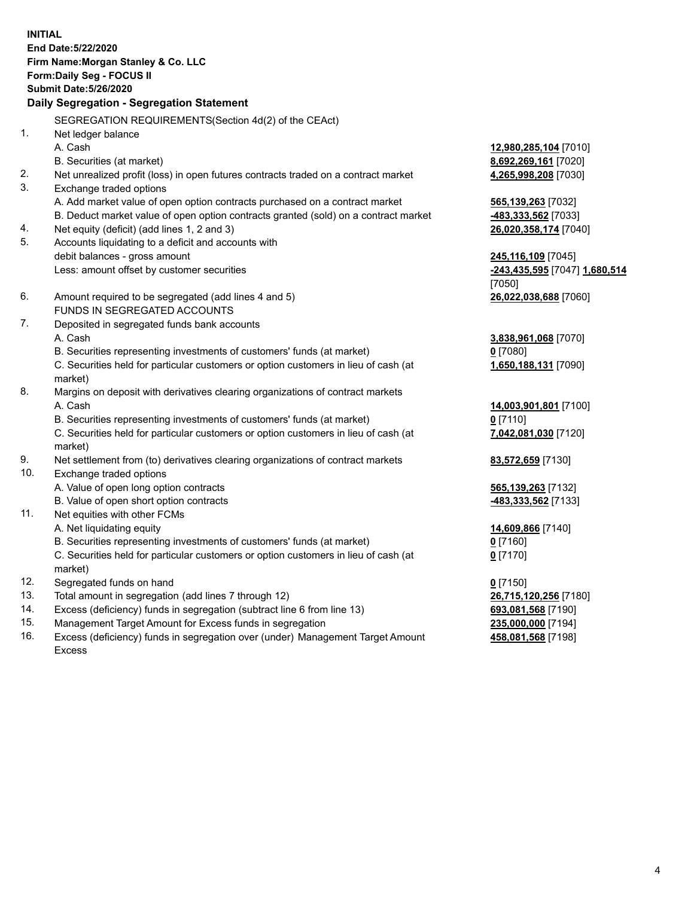**INITIAL End Date:5/22/2020 Firm Name:Morgan Stanley & Co. LLC Form:Daily Seg - FOCUS II Submit Date:5/26/2020 Daily Segregation - Segregation Statement** SEGREGATION REQUIREMENTS(Section 4d(2) of the CEAct) 1. Net ledger balance A. Cash **12,980,285,104** [7010] B. Securities (at market) **8,692,269,161** [7020] 2. Net unrealized profit (loss) in open futures contracts traded on a contract market **4,265,998,208** [7030] 3. Exchange traded options A. Add market value of open option contracts purchased on a contract market **565,139,263** [7032] B. Deduct market value of open option contracts granted (sold) on a contract market **-483,333,562** [7033] 4. Net equity (deficit) (add lines 1, 2 and 3) **26,020,358,174** [7040] 5. Accounts liquidating to a deficit and accounts with debit balances - gross amount **245,116,109** [7045] Less: amount offset by customer securities **-243,435,595** [7047] **1,680,514** [7050] 6. Amount required to be segregated (add lines 4 and 5) **26,022,038,688** [7060] FUNDS IN SEGREGATED ACCOUNTS 7. Deposited in segregated funds bank accounts A. Cash **3,838,961,068** [7070] B. Securities representing investments of customers' funds (at market) **0** [7080] C. Securities held for particular customers or option customers in lieu of cash (at market) **1,650,188,131** [7090] 8. Margins on deposit with derivatives clearing organizations of contract markets A. Cash **14,003,901,801** [7100] B. Securities representing investments of customers' funds (at market) **0** [7110] C. Securities held for particular customers or option customers in lieu of cash (at market) **7,042,081,030** [7120] 9. Net settlement from (to) derivatives clearing organizations of contract markets **83,572,659** [7130] 10. Exchange traded options A. Value of open long option contracts **565,139,263** [7132] B. Value of open short option contracts **-483,333,562** [7133] 11. Net equities with other FCMs A. Net liquidating equity **14,609,866** [7140] B. Securities representing investments of customers' funds (at market) **0** [7160] C. Securities held for particular customers or option customers in lieu of cash (at market) **0** [7170] 12. Segregated funds on hand **0** [7150] 13. Total amount in segregation (add lines 7 through 12) **26,715,120,256** [7180] 14. Excess (deficiency) funds in segregation (subtract line 6 from line 13) **693,081,568** [7190] 15. Management Target Amount for Excess funds in segregation **235,000,000** [7194]

16. Excess (deficiency) funds in segregation over (under) Management Target Amount Excess

**458,081,568** [7198]